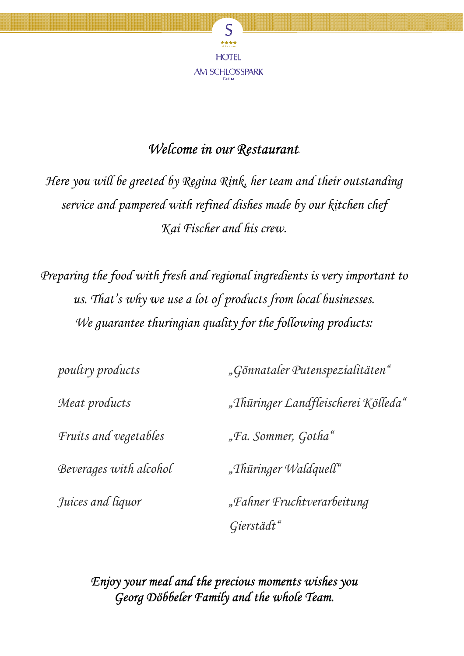

# *Welcome in our Restaurant*.

*Here you will be greeted by Regina Rink, her team and their outstanding service and pampered with refined dishes made by our kitchen chef Kai Fischer and his crew.* 

*Preparing the food with fresh and regional ingredients is very important to us. That's why we use a lot of products from local businesses. We guarantee thuringian quality for the following products:* 

| poultry products       | "Gönnataler Putenspezialitäten"     |
|------------------------|-------------------------------------|
| Meat products          | "Thüringer Landfleischerei Kölleda" |
| Fruits and vegetables  | "Fa. Sommer, Gotha"                 |
| Beverages with alcohol | "Thüringer Waldquell"               |
| Juices and liquor      | "Fahner Fruchtverarbeitung          |
|                        | Gierstädt"                          |

*Enjoy your meal and the precious moments wishes you Georg Döbbeler Family and the whole Team.*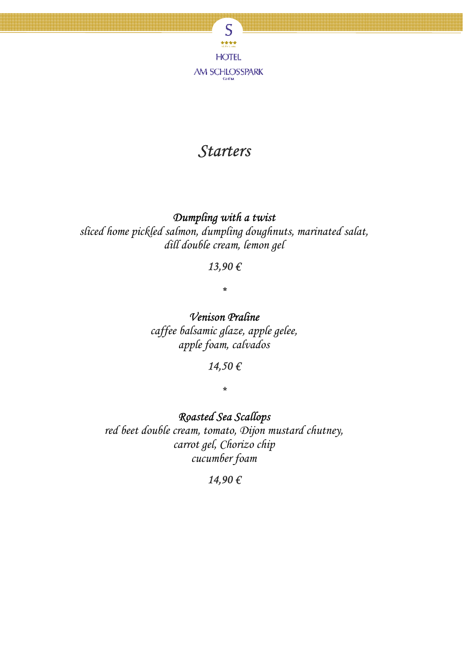

# *Starters*

#### *Dumpling with a twist*

*sliced home pickled salmon, dumpling doughnuts, marinated salat, dill double cream, lemon gel* 

#### *13,90 €*

*\** 

*Venison Praline caffee balsamic glaze, apple gelee, apple foam, calvados* 

## *14,50 €*

*\** 

*Roasted Sea Scallops* 

*red beet double cream, tomato, Dijon mustard chutney, carrot gel, Chorizo chip cucumber foam* 

#### *14,90 €*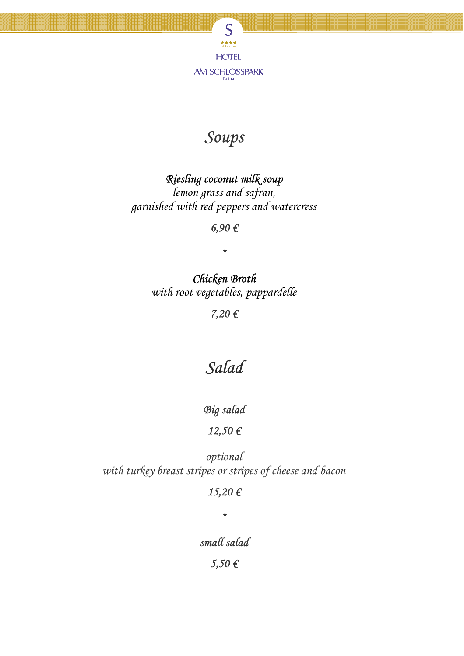

# *Soups*

## *Riesling coconut milk soup*

*lemon grass and safran, garnished with red peppers and watercress* 

*6,90 €* 

*\** 

*Chicken Broth with root vegetables, pappardelle*

*7,20 €* 

# *Salad*

*Big salad*

#### *12,50 €*

*optional with turkey breast stripes or stripes of cheese and bacon* 

#### *15,20 €*

*\** 

*small salad* 

*5,50 €*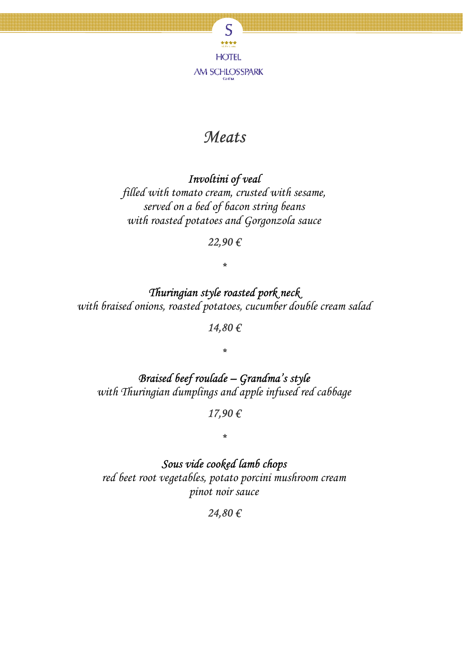

# *Meats*

## *Involtini of veal*

*filled with tomato cream, crusted with sesame, served on a bed of bacon string beans with roasted potatoes and Gorgonzola sauce* 

#### *22,90 €*

## *\**

*Thuringian style roasted pork neck with braised onions, roasted potatoes, cucumber double cream salad* 

*14,80 €* 

*\** 

## *Braised beef roulade – Grandma's style with Thuringian dumplings and apple infused red cabbage*

*17,90 €* 

*\** 

*Sous vide cooked lamb chops red beet root vegetables, potato porcini mushroom cream pinot noir sauce* 

*24,80 €*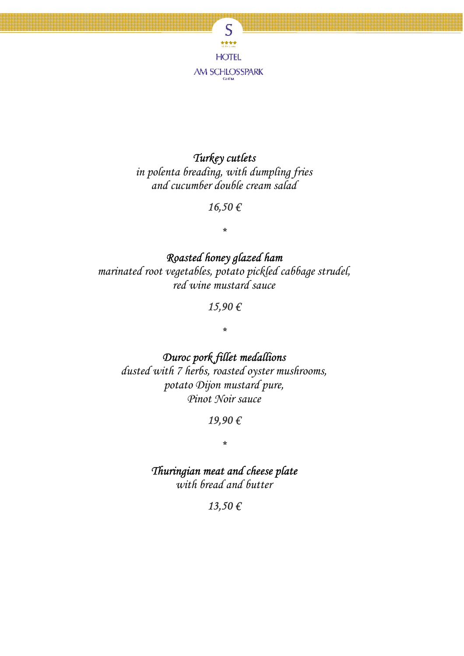

## *Turkey cutlets*

*in polenta breading, with dumpling fries and cucumber double cream salad* 

#### *16,50 €*

*\** 

*Roasted honey glazed ham marinated root vegetables, potato pickled cabbage strudel, red wine mustard sauce*

#### *15,90 €*

*\** 

*Duroc pork fillet medallions* 

*dusted with 7 herbs, roasted oyster mushrooms, potato Dijon mustard pure, Pinot Noir sauce* 

#### *19,90 €*

*\** 

*Thuringian meat and cheese plate with bread and butter* 

*13,50 €*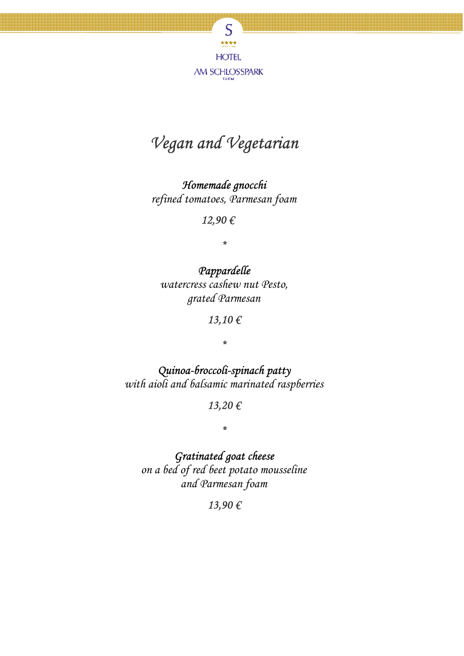

# *Vegan and Vegetarian*

*Homemade gnocchi refined tomatoes, Parmesan foam* 

*12,90 €* 

*\** 

*Pappardelle watercress cashew nut Pesto, grated Parmesan* 

*13,10 €* 

*\** 

*Quinoa-broccoli-spinach patty with aioli and balsamic marinated raspberries* 

*13,20 €* 

*\** 

*Gratinated goat cheese* 

*on a bed of red beet potato mousseline and Parmesan foam* 

*13,90 €*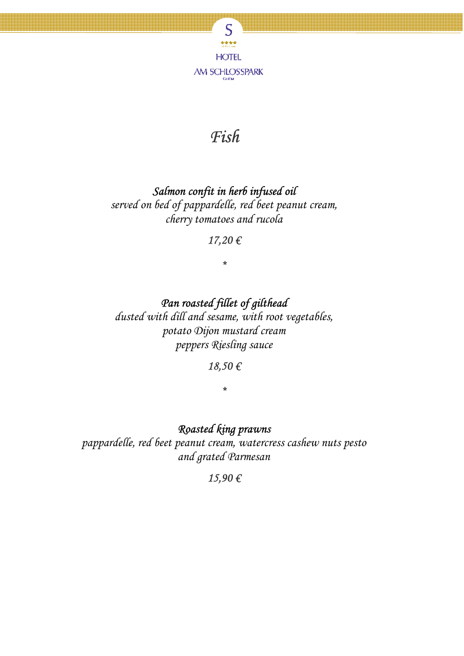

# *Fish*

## *Salmon confit in herb infused oil*

*served on bed of pappardelle, red beet peanut cream, cherry tomatoes and rucola* 

#### *17,20 €*

*\** 

## *Pan roasted fillet of gilthead*

*dusted with dill and sesame, with root vegetables, potato Dijon mustard cream peppers Riesling sauce* 

#### *18,50 €*

*\** 

#### *Roasted king prawns*

*pappardelle, red beet peanut cream, watercress cashew nuts pesto and grated Parmesan* 

#### *15,90 €*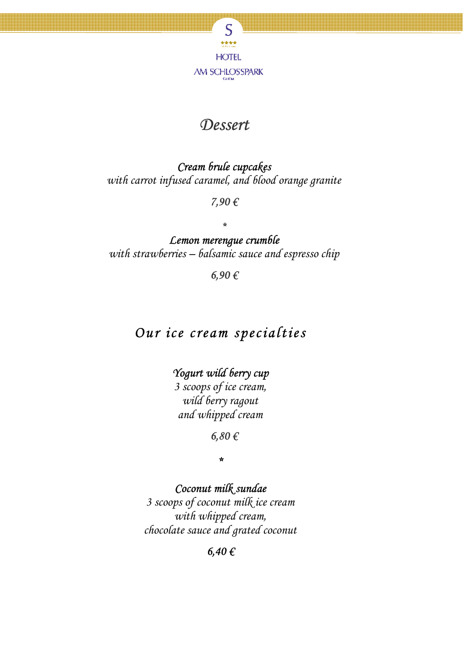

## *Dessert*

*Cream brule cupcakes with carrot infused caramel, and blood orange granite* 

*7,90 €* 

*\** 

*Lemon merengue crumble with strawberries – balsamic sauce and espresso chip* 

*6,90 €* 

# *Our ice cream specialties*

*Yogurt wild berry cup* 

*3 scoops of ice cream, wild berry ragout and whipped cream* 

*6,80 €* 

*\** 

*Coconut milk sundae* 

*3 scoops of coconut milk ice cream with whipped cream, chocolate sauce and grated coconut* 

*6,40 €*